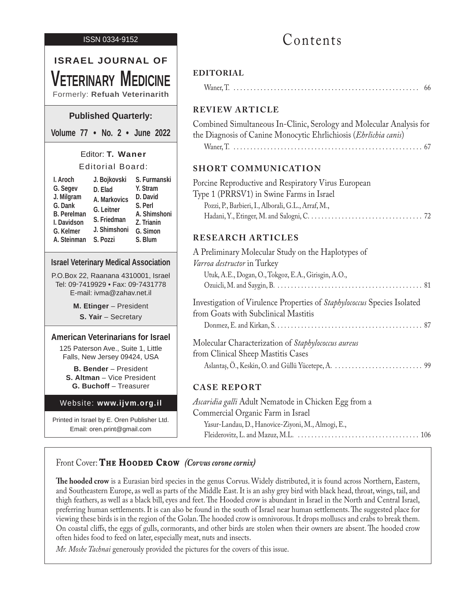#### ISSN 0334-9152

# **ISRAEL JOURNAL OF Veterinary Medicine** Formerly: **Refuah Veterinarith Published Quarterly:**

**Volume 77 • No. 2 • June 2022**

# Editor: **T. Waner** Editorial Board:

| I. Aroch           | J. Bojkovski | S. Furmanski |
|--------------------|--------------|--------------|
| G. Segev           | D. Elad      | Y. Stram     |
| J. Milgram         | A. Markovics | D. David     |
| G. Dank            | G. Leitner   | S. Perl      |
| <b>B.</b> Perelman |              | A. Shimshoni |
| I. Davidson        | S. Friedman  | Z. Trianin   |
| G. Kelmer          | J. Shimshoni | G. Simon     |
| A. Steinman        | S. Pozzi     | S. Blum      |

#### **Israel Veterinary Medical Association**

P.O.Box 22, Raanana 4310001, Israel Tel: 09-7419929 • Fax: 09-7431778 E-mail: ivma@zahav.net.il

> **M. Etinger** – President **S. Yair** – Secretary

#### **American Veterinarians for Israel**

125 Paterson Ave., Suite 1, Little Falls, New Jersey 09424, USA

**B. Bender** – President **S. Altman** – Vice President **G. Buchoff** – Treasurer

#### Website: **www.ijvm.org.il**

Printed in Israel by E. Oren Publisher Ltd. Email: oren.print@gmail.com

# Contents

#### **EDITORIAL**

|--|--|--|--|--|--|

### **REVIEW ARTICLE**

Combined Simultaneous In-Clinic, Serology and Molecular Analysis for the Diagnosis of Canine Monocytic Ehrlichiosis (*Ehrlichia canis*) Waner, T. . .67

## **SHORT COMMUNICATION**

| Porcine Reproductive and Respiratory Virus European |  |
|-----------------------------------------------------|--|
| Type 1 (PRRSV1) in Swine Farms in Israel            |  |
| Pozzi, P., Barbieri, I., Alborali, G.L., Arraf, M., |  |
|                                                     |  |

## **RESEARCH ARTICLES**

| A Preliminary Molecular Study on the Haplotypes of                       |  |
|--------------------------------------------------------------------------|--|
| Varroa destructor in Turkey                                              |  |
| Utuk, A.E., Dogan, O., Tokgoz, E.A., Girisgin, A.O.,                     |  |
|                                                                          |  |
| Investigation of Virulence Properties of Staphylococcus Species Isolated |  |
| from Goats with Subclinical Mastitis                                     |  |
|                                                                          |  |
| Molecular Characterization of Staphylococcus aureus                      |  |
| from Clinical Sheep Mastitis Cases                                       |  |
|                                                                          |  |

## **CASE REPORT**

*Ascaridia galli* Adult Nematode in Chicken Egg from a Commercial Organic Farm in Israel Yasur-Landau, D., Hanovice-Ziyoni, M., Almogi, E., Fleiderovitz, L. and Mazuz, M.L. . .106

# Front Cover: **THE HOODED CROW** *(Corvus corone cornix)*

**The hooded crow** is a Eurasian bird species in the genus Corvus. Widely distributed, it is found across Northern, Eastern, and Southeastern Europe, as well as parts of the Middle East. It is an ashy grey bird with black head, throat, wings, tail, and thigh feathers, as well as a black bill, eyes and feet. The Hooded crow is abundant in Israel in the North and Central Israel, preferring human settlements. It is can also be found in the south of Israel near human settlements. The suggested place for viewing these birds is in the region of the Golan. The hooded crow is omnivorous. It drops molluscs and crabs to break them. On coastal cliffs, the eggs of gulls, cormorants, and other birds are stolen when their owners are absent. The hooded crow often hides food to feed on later, especially meat, nuts and insects.

*Mr. Moshe Tachnai* generously provided the pictures for the covers of this issue.